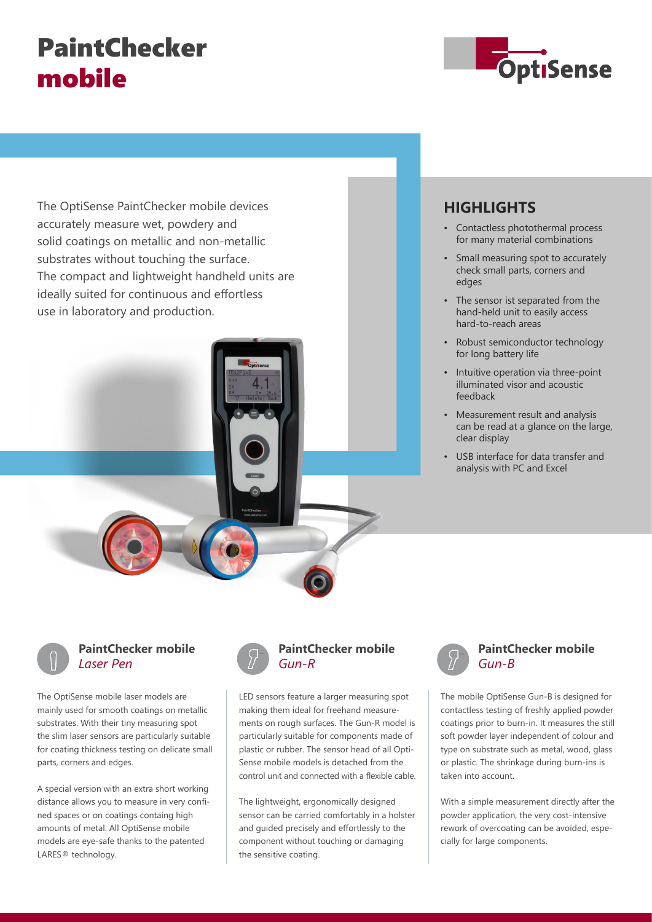## **PaintChecker mobile**



The OptiSense PaintChecker mobile devices accurately measure wet, powdery and solid coatings on metallic and non-metallic substrates without touching the surface. The compact and lightweight handheld units are ideally suited for continuous and effortless use in laboratory and production.



### **HIGHLIGHTS**

- Contactless photothermal process for many material combinations
- Small measuring spot to accurately check small parts, corners and edges
- The sensor ist separated from the hand-held unit to easily access hard-to-reach areas
- Robust semiconductor technology for long battery life
- Intuitive operation via three-point illuminated visor and acoustic feedback
- Measurement result and analysis can be read at a glance on the large, clear display
- USB interface for data transfer and analysis with PC and Excel



#### **PaintChecker mobile** *Laser Pen*

The OptiSense mobile laser models are mainly used for smooth coatings on metallic substrates. With their tiny measuring spot the slim laser sensors are particularly suitable for coating thickness testing on delicate small parts, corners and edges.

A special version with an extra short working distance allows you to measure in very confined spaces or on coatings containg high amounts of metal. All OptiSense mobile models are eye-safe thanks to the patented LARES<sup>®</sup> technology.



# **PaintChecker mobile**

LED sensors feature a larger measuring spot making them ideal for freehand measurements on rough surfaces. The Gun-R model is particularly suitable for components made of plastic or rubber. The sensor head of all Opti-Sense mobile models is detached from the control unit and connected with a flexible cable.

The lightweight, ergonomically designed sensor can be carried comfortably in a holster and guided precisely and effortlessly to the component without touching or damaging the sensitive coating.



#### **PaintChecker mobile** *Gun-B*

The mobile OptiSense Gun-B is designed for contactless testing of freshly applied powder coatings prior to burn-in. It measures the still soft powder layer independent of colour and type on substrate such as metal, wood, glass or plastic. The shrinkage during burn-ins is taken into account.

With a simple measurement directly after the powder application, the very cost-intensive rework of overcoating can be avoided, especially for large components.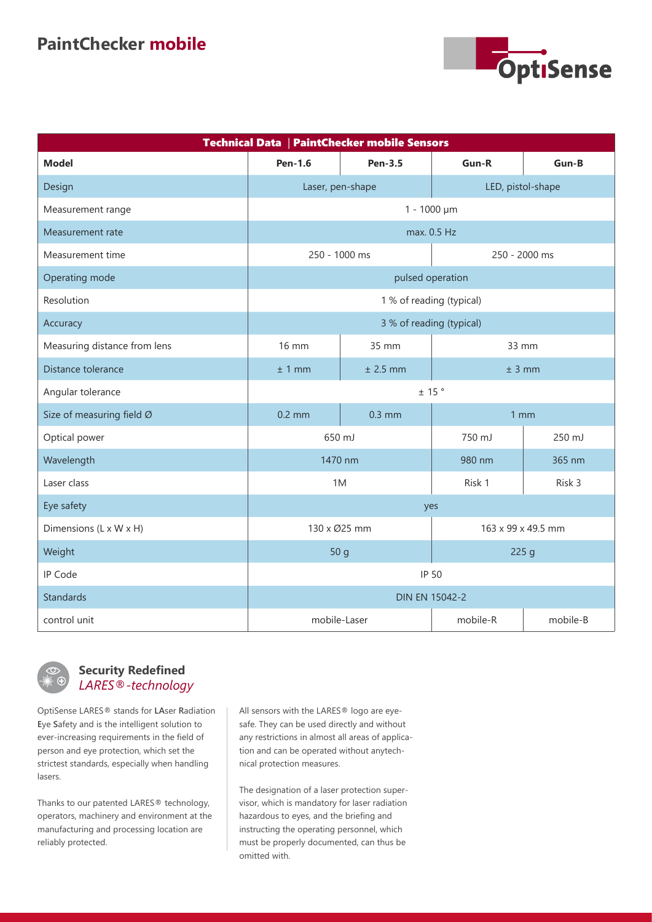### **PaintChecker mobile**



| Technical Data   PaintChecker mobile Sensors |                                |                  |                    |          |  |  |  |  |
|----------------------------------------------|--------------------------------|------------------|--------------------|----------|--|--|--|--|
| <b>Model</b>                                 | <b>Pen-1.6</b>                 | <b>Pen-3.5</b>   | Gun-R              | Gun-B    |  |  |  |  |
| Design                                       |                                | Laser, pen-shape | LED, pistol-shape  |          |  |  |  |  |
| Measurement range                            | $1 - 1000 \mu m$               |                  |                    |          |  |  |  |  |
| Measurement rate                             | max. 0.5 Hz                    |                  |                    |          |  |  |  |  |
| Measurement time                             | 250 - 1000 ms<br>250 - 2000 ms |                  |                    |          |  |  |  |  |
| Operating mode                               | pulsed operation               |                  |                    |          |  |  |  |  |
| Resolution                                   | 1 % of reading (typical)       |                  |                    |          |  |  |  |  |
| Accuracy                                     | 3 % of reading (typical)       |                  |                    |          |  |  |  |  |
| Measuring distance from lens                 | 16 mm                          | 35 mm            | 33 mm              |          |  |  |  |  |
| Distance tolerance                           | ± 1 mm                         | $±$ 2.5 mm       | ± 3 mm             |          |  |  |  |  |
| Angular tolerance                            | ± 15°                          |                  |                    |          |  |  |  |  |
| Size of measuring field Ø                    | $0.2$ mm                       | $0.3$ mm         | 1mm                |          |  |  |  |  |
| Optical power                                | 650 mJ<br>750 mJ               |                  |                    | 250 mJ   |  |  |  |  |
| Wavelength                                   | 1470 nm                        |                  | 980 nm             | 365 nm   |  |  |  |  |
| Laser class                                  | 1M                             |                  | Risk 1             | Risk 3   |  |  |  |  |
| Eye safety                                   | yes                            |                  |                    |          |  |  |  |  |
| Dimensions (L x W x H)                       | 130 x Ø25 mm                   |                  | 163 x 99 x 49.5 mm |          |  |  |  |  |
| Weight                                       | 50 g<br>225 g                  |                  |                    |          |  |  |  |  |
| IP Code                                      | IP 50                          |                  |                    |          |  |  |  |  |
| <b>Standards</b>                             | <b>DIN EN 15042-2</b>          |                  |                    |          |  |  |  |  |
| control unit                                 | mobile-Laser                   |                  | mobile-R           | mobile-B |  |  |  |  |



### **Security Redefined** *LARES®-technology*

OptiSense LARES® stands for **LA**ser **R**adiation **E**ye **S**afety and is the intelligent solution to ever-increasing requirements in the field of person and eye protection, which set the strictest standards, especially when handling lasers.

Thanks to our patented LARES® technology, operators, machinery and environment at the manufacturing and processing location are reliably protected.

All sensors with the LARES® logo are eyesafe. They can be used directly and without any restrictions in almost all areas of application and can be operated without anytechnical protection measures.

The designation of a laser protection supervisor, which is mandatory for laser radiation hazardous to eyes, and the briefing and instructing the operating personnel, which must be properly documented, can thus be omitted with.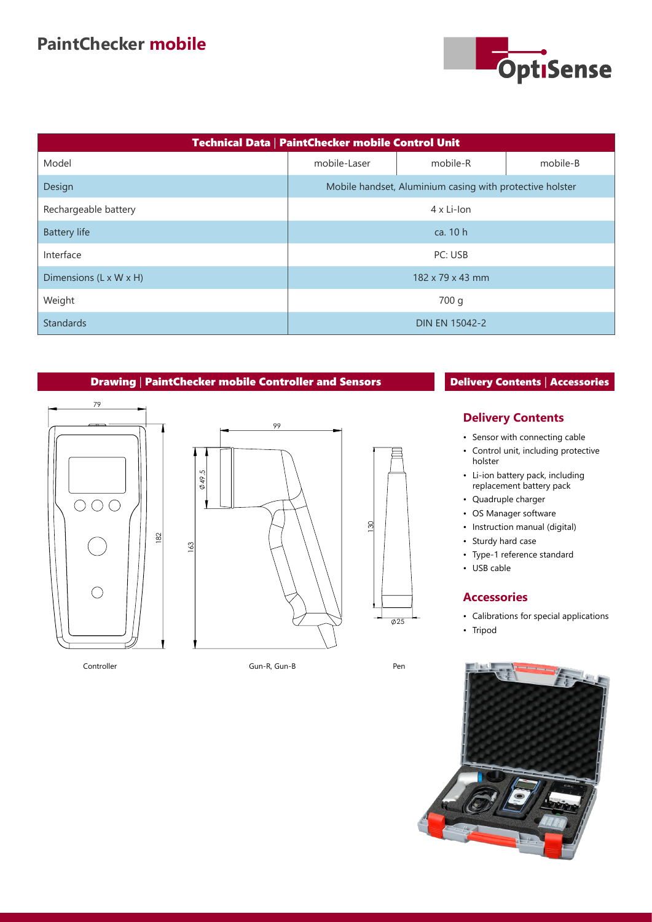### **PaintChecker mobile**



| Technical Data   PaintChecker mobile Control Unit |                                                          |                  |          |  |  |  |  |
|---------------------------------------------------|----------------------------------------------------------|------------------|----------|--|--|--|--|
| Model                                             | mobile-Laser                                             | mobile-R         | mobile-B |  |  |  |  |
| Design                                            | Mobile handset, Aluminium casing with protective holster |                  |          |  |  |  |  |
| Rechargeable battery                              | $4 \times$ Li-Ion                                        |                  |          |  |  |  |  |
| <b>Battery life</b>                               | ca. $10h$                                                |                  |          |  |  |  |  |
| Interface                                         | PC: USB                                                  |                  |          |  |  |  |  |
| Dimensions (L x W x H)                            |                                                          | 182 x 79 x 43 mm |          |  |  |  |  |
| Weight                                            | 700 g                                                    |                  |          |  |  |  |  |
| <b>Standards</b>                                  | <b>DIN EN 15042-2</b>                                    |                  |          |  |  |  |  |

#### **Drawing** | **PaintChecker mobile Controller and Sensors**





#### **Delivery Contents** | **Accessories**

### **Delivery Contents**

- Sensor with connecting cable
- Control unit, including protective holster
- Li-ion battery pack, including replacement battery pack
- Quadruple charger
- OS Manager software
- Instruction manual (digital)
- Sturdy hard case
- Type-1 reference standard
- USB cable

#### **Accessories**

- Calibrations for special applications
- Tripod